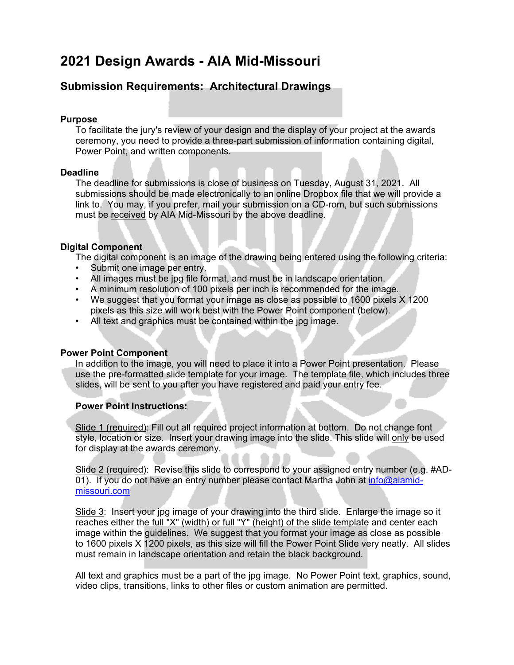# **2021 Design Awards - AIA Mid-Missouri**

# **Submission Requirements: Architectural Drawings**

## **Purpose**

To facilitate the jury's review of your design and the display of your project at the awards ceremony, you need to provide a three-part submission of information containing digital, Power Point, and written components.

## **Deadline**

The deadline for submissions is close of business on Tuesday, August 31, 2021. All submissions should be made electronically to an online Dropbox file that we will provide a link to. You may, if you prefer, mail your submission on a CD-rom, but such submissions must be received by AIA Mid-Missouri by the above deadline.

## **Digital Component**

The digital component is an image of the drawing being entered using the following criteria:

- Submit one image per entry.
- All images must be jpg file format, and must be in landscape orientation.
- A minimum resolution of 100 pixels per inch is recommended for the image.
- We suggest that you format your image as close as possible to 1600 pixels X 1200 pixels as this size will work best with the Power Point component (below).
- All text and graphics must be contained within the jpg image.

## **Power Point Component**

In addition to the image, you will need to place it into a Power Point presentation. Please use the pre-formatted slide template for your image. The template file, which includes three slides, will be sent to you after you have registered and paid your entry fee.

### **Power Point Instructions:**

Slide 1 (required): Fill out all required project information at bottom. Do not change font style, location or size. Insert your drawing image into the slide. This slide will only be used for display at the awards ceremony.

Slide 2 (required): Revise this slide to correspond to your assigned entry number (e.g. #AD-01). If you do not have an entry number please contact Martha John at  $info@$ aiamidmissouri.com

Slide 3: Insert your jpg image of your drawing into the third slide. Enlarge the image so it reaches either the full "X" (width) or full "Y" (height) of the slide template and center each image within the guidelines. We suggest that you format your image as close as possible to 1600 pixels X 1200 pixels, as this size will fill the Power Point Slide very neatly. All slides must remain in landscape orientation and retain the black background.

All text and graphics must be a part of the jpg image. No Power Point text, graphics, sound, video clips, transitions, links to other files or custom animation are permitted.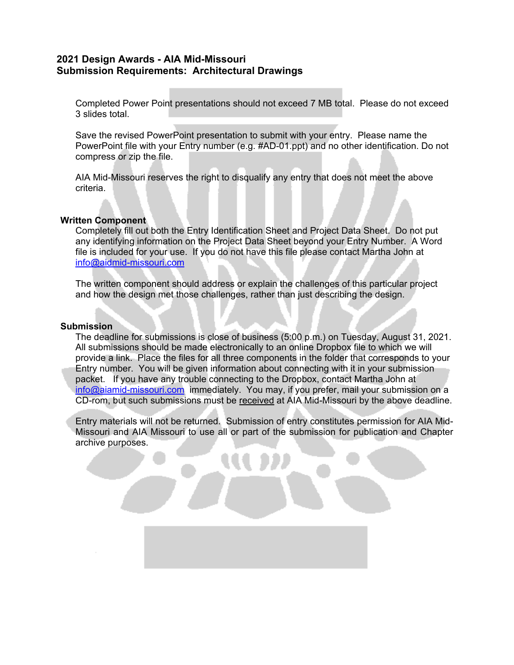## **2021 Design Awards - AIA Mid-Missouri Submission Requirements: Architectural Drawings**

Completed Power Point presentations should not exceed 7 MB total. Please do not exceed 3 slides total.

Save the revised PowerPoint presentation to submit with your entry. Please name the PowerPoint file with your Entry number (e.g. #AD-01.ppt) and no other identification. Do not compress or zip the file.

AIA Mid-Missouri reserves the right to disqualify any entry that does not meet the above criteria.

#### **Written Component**

Completely fill out both the Entry Identification Sheet and Project Data Sheet. Do not put any identifying information on the Project Data Sheet beyond your Entry Number. A Word file is included for your use. If you do not have this file please contact Martha John at info@aidmid-missouri.com

The written component should address or explain the challenges of this particular project and how the design met those challenges, rather than just describing the design.

#### **Submission**

The deadline for submissions is close of business (5:00 p.m.) on Tuesday, August 31, 2021. All submissions should be made electronically to an online Dropbox file to which we will provide a link. Place the files for all three components in the folder that corresponds to your Entry number. You will be given information about connecting with it in your submission packet. If you have any trouble connecting to the Dropbox, contact Martha John at info@aiamid-missouri.com immediately. You may, if you prefer, mail your submission on a CD-rom, but such submissions must be received at AIA Mid-Missouri by the above deadline.

Entry materials will not be returned. Submission of entry constitutes permission for AIA Mid-Missouri and AIA Missouri to use all or part of the submission for publication and Chapter archive purposes.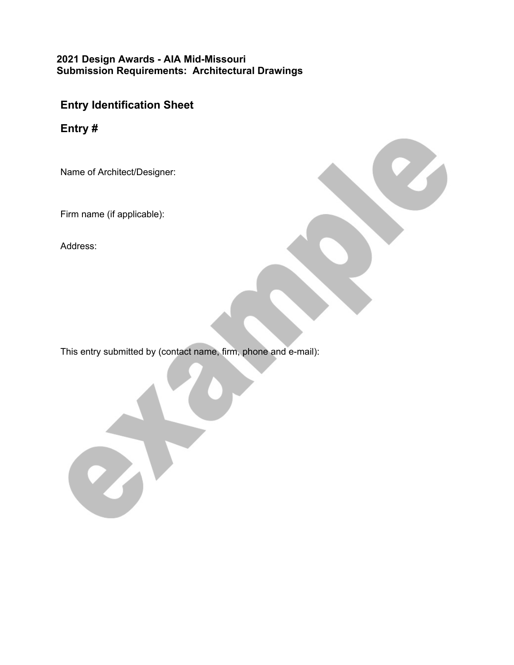# **2021 Design Awards - AIA Mid-Missouri Submission Requirements: Architectural Drawings**

# **Entry Identification Sheet**

**Entry #**

Name of Architect/Designer:

Firm name (if applicable):

Address:

This entry submitted by (contact name, firm, phone and e-mail):